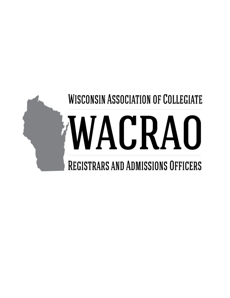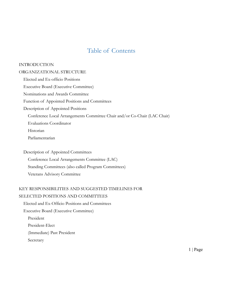# Table of Contents

#### INTRODUCTION

#### ORGANIZATIONAL STRUCTURE

Elected and Ex-officio Positions Executive Board (Executive Committee) Nominations and Awards Committee Function of Appointed Positions and Committees Description of Appointed Positions Conference Local Arrangements Committee Chair and/or Co-Chair (LAC Chair) Evaluations Coordinator Historian Parliamentarian

Description of Appointed Committees Conference Local Arrangements Committee (LAC) Standing Committees (also called Program Committees) Veterans Advisory Committee

# KEY RESPONSIBILITIES AND SUGGESTED TIMELINES FOR

### SELECTED POSITIONS AND COMMITTEES

Elected and Ex-Officio Positions and Committees Executive Board (Executive Committee) President President-Elect (Immediate) Past President Secretary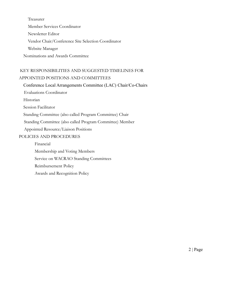Treasurer Member Services Coordinator Newsletter Editor Vendor Chair/Conference Site Selection Coordinator Website Manager Nominations and Awards Committee

## KEY RESPONSIBILITIES AND SUGGESTED TIMELINES FOR APPOINTED POSITIONS AND COMMITTEES

Conference Local Arrangements Committee (LAC) Chair/Co-Chairs

Evaluations Coordinator

Historian

Session Facilitator

Standing Committee (also called Program Committee) Chair

Standing Committee (also called Program Committee) Member

Appointed Resource/Liaison Positions

#### POLICIES AND PROCEDURES

Financial Membership and Voting Members Service on WACRAO Standing Committees Reimbursement Policy Awards and Recognition Policy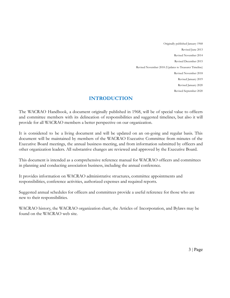Originally published January 1968 Revised June 2013 Revised November 2014 Revised December 2015 Revised November 2018 (Updates to Treasurer Timeline) Revised November 2018 Revised January 2019 Revised January 2020 Revised September 2020

### **INTRODUCTION**

The WACRAO Handbook, a document originally published in 1968, will be of special value to officers and committee members with its delineation of responsibilities and suggested timelines, but also it will provide for all WACRAO members a better perspective on our organization.

It is considered to be a living document and will be updated on an on-going and regular basis. This document will be maintained by members of the WACRAO Executive Committee from minutes of the Executive Board meetings, the annual business meeting, and from information submitted by officers and other organization leaders. All substantive changes are reviewed and approved by the Executive Board.

This document is intended as a comprehensive reference manual for WACRAO officers and committees in planning and conducting association business, including the annual conference.

It provides information on WACRAO administrative structures, committee appointments and responsibilities, conference activities, authorized expenses and required reports.

Suggested annual schedules for officers and committees provide a useful reference for those who are new to their responsibilities.

WACRAO history, the WACRAO organization chart, the Articles of Incorporation, and Bylaws may be found on the WACRAO web site.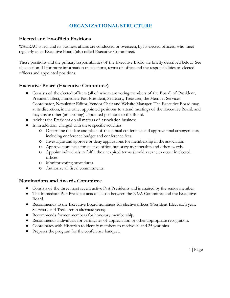### **ORGANIZATIONAL STRUCTURE**

### **Elected and Ex-officio Positions**

WACRAO is led, and its business affairs are conducted or overseen, by its elected officers, who meet regularly as an Executive Board (also called Executive Committee).

These positions and the primary responsibilities of the Executive Board are briefly described below. See also section III for more information on elections, terms of office and the responsibilities of elected officers and appointed positions.

### **Executive Board (Executive Committee)**

- Consists of the elected officers (all of whom are voting members of the Board) of President, President-Elect, immediate Past President, Secretary, Treasurer, the Member Services Coordinator, Newsletter Editor, Vendor Chair and Website Manager. The Executive Board may, at its discretion, invite other appointed positions to attend meetings of the Executive Board, and may create other (non-voting) appointed positions to the Board.
- Advises the President on all matters of association business.
- Is, in addition, charged with these specific activities:
	- o Determine the date and place of the annual conference and approve final arrangements, including conference budget and conference fees.
	- o Investigate and approve or deny applications for membership in the association.
	- o Approve nominees for elective office, honorary membership and other awards.
	- o Appoint individuals to fulfill the unexpired terms should vacancies occur in elected offices.
	- o Monitor voting procedures.
	- o Authorize all fiscal commitments.

#### **Nominations and Awards Committee**

- Consists of the three most recent active Past Presidents and is chaired by the senior member.
- The Immediate Past President acts as liaison between the N&A Committee and the Executive Board.
- Recommends to the Executive Board nominees for elective offices (President-Elect each year; Secretary and Treasurer in alternate years).
- Recommends former members for honorary membership.
- Recommends individuals for certificates of appreciation or other appropriate recognition.
- Coordinates with Historian to identify members to receive 10 and 25 year pins.
- Prepares the program for the conference banquet.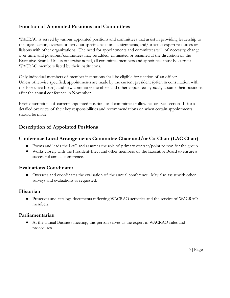### **Function of Appointed Positions and Committees**

WACRAO is served by various appointed positions and committees that assist in providing leadership to the organization, oversee or carry out specific tasks and assignments, and/or act as expert resources or liaisons with other organizations. The need for appointments and committees will, of necessity, change over time, and positions/committees may be added, eliminated or renamed at the discretion of the Executive Board. Unless otherwise noted, all committee members and appointees must be current WACRAO members listed by their institutions.

Only individual members of member institutions shall be eligible for election of an officer. Unless otherwise specified, appointments are made by the current president (often in consultation with the Executive Board), and new committee members and other appointees typically assume their positions after the annual conference in November.

Brief descriptions of current appointed positions and committees follow below. See section III for a detailed overview of their key responsibilities and recommendations on when certain appointments should be made.

### **Description of Appointed Positions**

### **Conference Local Arrangements Committee Chair and/or Co-Chair (LAC Chair)**

- Forms and leads the LAC and assumes the role of primary contact/point person for the group.
- Works closely with the President-Elect and other members of the Executive Board to ensure a successful annual conference.

#### **Evaluations Coordinator**

● Oversees and coordinates the evaluation of the annual conference. May also assist with other surveys and evaluations as requested.

### **Historian**

● Preserves and catalogs documents reflecting WACRAO activities and the service of WACRAO members.

### **Parliamentarian**

● At the annual Business meeting, this person serves as the expert in WACRAO rules and procedures.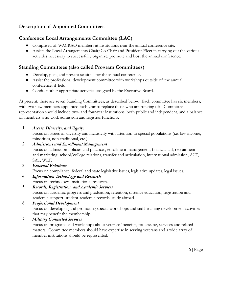# **Description of Appointed Committees**

### **Conference Local Arrangements Committee (LAC)**

- Comprised of WACRAO members at institutions near the annual conference site.
- Assists the Local Arrangements Chair/Co-Chair and President-Elect in carrying out the various activities necessary to successfully organize, promote and host the annual conference.

### **Standing Committees (also called Program Committees)**

- Develop, plan, and present sessions for the annual conference.
- Assist the professional development committee with workshops outside of the annual conference, if held.
- Conduct other appropriate activities assigned by the Executive Board.

At present, there are seven Standing Committees, as described below. Each committee has six members, with two new members appointed each year to replace those who are rotating off. Committee representation should include two- and four-year institutions, both public and independent, and a balance of members who work admission and registrar functions.

1. *Access, Diversity, and Equity*

Focus on issues of diversity and inclusivity with attention to special populations (i.e. low income, minorities, non-traditional, etc.).

2. *Admissions and Enrollment Management*

Focus on admission policies and practices, enrollment management, financial aid, recruitment and marketing, school/college relations, transfer and articulation, international admission, ACT, SAT, WEF.

3. *External Relations*

Focus on compliance, federal and state legislative issues, legislative updates, legal issues.

- 4. *Information Technology and Research* Focus on technology, institutional research.
- 5. *Records, Registration, and Academic Services* Focus on academic progress and graduation, retention, distance education, registration and academic support, student academic records, study abroad.
- 6. *Professional Development* Focus on developing and promoting special workshops and staff training development activities that may benefit the membership.

7. *Military Connected Services*

Focus on programs and workshops about veterans' benefits, processing, services and related matters. Committee members should have expertise in serving veterans and a wide array of member institutions should be represented.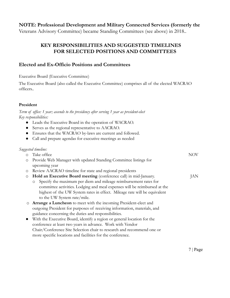#### **NOTE: Professional Development and Military Connected Services (formerly the**

Veterans Advisory Committee) became Standing Committees (see above) in 2018..

### **KEY RESPONSIBILITIES AND SUGGESTED TIMELINES FOR SELECTED POSITIONS AND COMMITTEES**

#### **Elected and Ex-Officio Positions and Committees**

Executive Board (Executive Committee)

The Executive Board (also called the Executive Committee) comprises all of the elected WACRAO officers..

#### **President**

*Suggested timeline:*

*Term of office: 1 year; ascends to the presidency after serving 1 year as president-elect Key responsibilities:*

- Leads the Executive Board in the operation of WACRAO.
- Serves as the regional representative to AACRAO.
- Ensures that the WACRAO by-laws are current and followed.
- Call and prepare agendas for executive meetings as needed

| $\circ$   | Take office                                                               | <b>NOV</b> |
|-----------|---------------------------------------------------------------------------|------------|
| $\circ$   | Provide Web Manager with updated Standing Committee listings for          |            |
|           | upcoming year                                                             |            |
| $\circ$   | Review AACRAO timeline for state and regional presidents                  |            |
| $\circ$   | Hold an Executive Board meeting (conference call) in mid-January.         | JAN        |
|           | o Specify the maximum per diem and mileage reimbursement rates for        |            |
|           | committee activities. Lodging and meal expenses will be reimbursed at the |            |
|           | highest of the UW System rates in effect. Mileage rate will be equivalent |            |
|           | to the UW System rate/mile.                                               |            |
| $\circ$   | Arrange a Luncheon to meet with the incoming President-elect and          |            |
|           | outgoing President for purposes of receiving information, materials, and  |            |
|           | guidance concerning the duties and responsibilities.                      |            |
| $\bullet$ | With the Executive Board, identify a region or general location for the   |            |
|           | conference at least two years in advance. Work with Vendor                |            |
|           | Chair/Conference Site Selection chair to research and recommend one or    |            |
|           | more specific locations and facilities for the conference.                |            |
|           |                                                                           |            |
|           |                                                                           |            |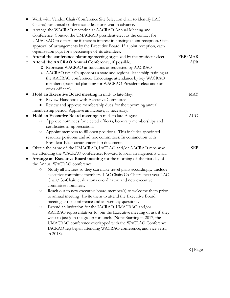|   | Work with Vendor Chair/Conference Site Selection chair to identify LAC                                  |            |
|---|---------------------------------------------------------------------------------------------------------|------------|
|   | Chair(s) for annual conference at least one year in advance.                                            |            |
|   | Arrange the WACRAO reception at AACRAO Annual Meeting and                                               |            |
|   | Conference. Contact the UMACRAO president-elect as the contact for                                      |            |
|   | UMACRAO to determine if there is interest in hosting a joint reception. Gain                            |            |
|   | approval of arrangements by the Executive Board. If a joint reception, each                             |            |
|   | organization pays for a percentage of its attendees.                                                    |            |
| O | Attend the conference planning meeting organized by the president-elect.                                | FEB/MAR    |
| O | Attend the AACRAO Annual Conference, if possible.                                                       | <b>APR</b> |
|   | O Represent WACRAO at functions as requested by AACRAO.                                                 |            |
|   | O AACRAO typically sponsors a state and regional leadership training at                                 |            |
|   | the AACRAO conference. Encourage attendance by key WACRAO                                               |            |
|   | members (potential planning for WACRAO President-elect and/or                                           |            |
|   | other officers).                                                                                        |            |
|   | Hold an Executive Board meeting in mid- to late-May.                                                    | <b>MAY</b> |
|   | Review Handbook with Executive Committee                                                                |            |
|   | Review and approve membership dues for the upcoming annual                                              |            |
|   | membership period. Approve an increase, if necessary.                                                   |            |
|   | Hold an Executive Board meeting in mid- to late-August                                                  | <b>AUG</b> |
|   | Approve nominees for elected officers, honorary memberships and<br>$\bigcirc$                           |            |
|   | certificates of appreciation.                                                                           |            |
|   | Appoint members to fill open positions. This includes appointed<br>$\circ$                              |            |
|   | resource positions and ad hoc committees. In conjunction with                                           |            |
|   | President-Elect create leadership document.                                                             |            |
|   |                                                                                                         | <b>SEP</b> |
|   | Obtain the name of the UMACRAO, IACRAO and/or AACRAO reps who                                           |            |
|   | are attending the WACRAO conference; forward to local arrangements chair.                               |            |
|   | Arrange an Executive Board meeting for the morning of the first day of<br>the Annual WACRAO conference. |            |
|   |                                                                                                         |            |
|   | Notify all invitees so they can make travel plans accordingly. Include<br>$\bigcirc$                    |            |
|   | executive committee members, LAC Chair/Co-Chairs, next year LAC                                         |            |
|   | Chair/Co-Chair, evaluations coordinator, and new executive                                              |            |
|   | committee nominees.                                                                                     |            |
|   | Reach out to new executive board member(s) to welcome them prior<br>$\circ$                             |            |
|   | to annual meeting. Invite them to attend the Executive Board                                            |            |
|   | meeting at the conference and answer any questions.                                                     |            |
|   | Extend an invitation for the IACRAO, UMACRAO and/or<br>$\bigcirc$                                       |            |
|   | AACRAO representatives to join the Executive meeting or ask if they                                     |            |
|   | want to just join the group for lunch. (Note: Starting in 2017, the                                     |            |
|   | UMACRAO conference overlapped with the WACRAO Conference.                                               |            |
|   | IACRAO rep began attending WACRAO conference, and vice versa,                                           |            |
|   | in 2018).                                                                                               |            |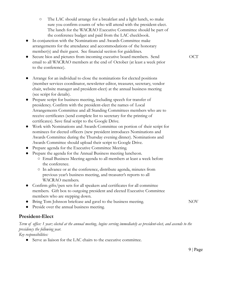- The LAC should arrange for a breakfast and a light lunch, so make sure you confirm counts of who will attend with the president-elect. The lunch for the WACRAO Executive Committee should be part of the conference budget and paid from the LAC checkbook.
- In conjunction with the Nominations and Awards Committee make arrangements for the attendance and accommodations of the honorary member(s) and their guest. See financial section for guidelines.
- Secure bios and pictures from incoming executive board members. Send email to all WACRAO members at the end of October (at least a week prior to the conference).
- Arrange for an individual to close the nominations for elected positions (member services coordinator, newsletter editor, treasurer, secretary, vendor chair, website manager and president-elect) at the annual business meeting (see script for details).
- Prepare script for business meeting, including speech for transfer of presidency. Confirm with the president-elect the names of Local Arrangements Committee and all Standing Committees members who are to receive certificates (send complete list to secretary for the printing of certificates). Save final script to the Google Drive.
- Work with Nominations and Awards Committee on portion of their script for nominees for elected officers (new president introduces Nominations and Awards Committee during the Thursday evening dinner). Nominations and Awards Committee should upload their script to Google Drive.
- Prepare agenda for the Executive Committee Meeting.
- Prepare the agenda for the Annual Business meeting luncheon.
	- Email Business Meeting agenda to all members at least a week before the conference.
	- In advance or at the conference, distribute agenda, minutes from previous year's business meeting, and treasurer's reports to all WACRAO members.
- Confirm gifts/pen sets for all speakers and certificates for all committee members. Gift box to outgoing president and elected Executive Committee members who are stepping down.
- Bring Tom Johnson briefcase and gavel to the business meeting.

NOV

Preside over the annual business meeting.

#### **President-Elect**

*Term of office: 1 year; elected at the annual meeting, begins serving immediately as president-elect, and ascends to the presidency the following year.*

*Key responsibilities:*

● Serve as liaison for the LAC chairs to the executive committee.

OCT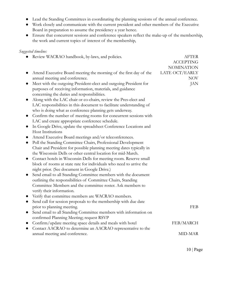- Lead the Standing Committees in coordinating the planning sessions of the annual conference.
- Work closely and communicate with the current president and other members of the Executive Board in preparation to assume the presidency a year hence.
- Ensure that concurrent sessions and conference speakers reflect the make-up of the membership, the work and current topics of interest of the membership,

*Suggested timeline:*

| $\bullet$ | Review WACRAO handbook, by-laws, and policies.                       | <b>AFTER</b>      |
|-----------|----------------------------------------------------------------------|-------------------|
|           |                                                                      | <b>ACCEPTING</b>  |
|           |                                                                      | <b>NOMINATION</b> |
|           | Attend Executive Board meeting the morning of the first day of the   | LATE OCT/EARLY    |
|           | annual meeting and conference.                                       | NOV               |
| $\bullet$ | Meet with the outgoing President-elect and outgoing President for    | JAN               |
|           | purposes of receiving information, materials, and guidance           |                   |
|           | concerning the duties and responsibilities.                          |                   |
| $\bullet$ | Along with the LAC chair or co-chairs, review the Pres-elect and     |                   |
|           | LAC responsibilities in this document to facilitate understanding of |                   |
|           | who is doing what as conference planning gets underway.              |                   |
| $\bullet$ | Confirm the number of meeting rooms for concurrent sessions with     |                   |
|           | LAC and create appropriate conference schedule.                      |                   |
| $\bullet$ | In Google Drive, update the spreadsheet Conference Locations and     |                   |
|           | Host Institutions                                                    |                   |
|           | Attend Executive Board meetings and/or teleconferences.              |                   |
| $\bullet$ | Poll the Standing Committee Chairs, Professional Development         |                   |
|           | Chair and President for possible planning meeting dates typically in |                   |
|           | the Wisconsin Dells or other central location for mid-March.         |                   |
| $\bullet$ | Contact hotels in Wisconsin Dells for meeting room. Reserve small    |                   |
|           | block of rooms at state rate for individuals who need to arrive the  |                   |
|           | night prior. (See document in Google Drive.)                         |                   |
| $\bullet$ | Send email to all Standing Committee members with the document       |                   |
|           | outlining the responsibilities of Committee Chairs, Standing         |                   |
|           | Committee Members and the committee roster. Ask members to           |                   |
|           | verify their information.                                            |                   |
|           | Verify that committee members are WACRAO members.                    |                   |
| $\bullet$ | Send call for session proposals to the membership with due date      |                   |
|           | prior to planning meeting.                                           | <b>FEB</b>        |
| $\bullet$ | Send email to all Standing Committee members with information on     |                   |
|           | confirmed Planning Meeting; request RSVP                             |                   |
| $\bullet$ | Confirm/update meeting space details and meals with hotel            | FEB/MARCH         |
|           | Contact AACRAO to determine an AACRAO representative to the          |                   |
|           | annual meeting and conference.                                       | MID-MAR           |
|           |                                                                      |                   |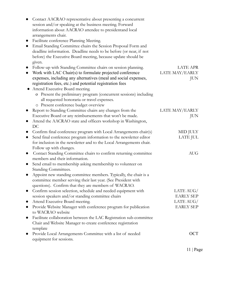| Contact AACRAO representative about presenting a concurrent                      |                  |
|----------------------------------------------------------------------------------|------------------|
| session and/or speaking at the business meeting. Forward                         |                  |
| information about AACRAO attendee to presidentand local                          |                  |
| arrangements chair.                                                              |                  |
| Facilitate conference Planning Meeting.<br>$\bullet$                             |                  |
| Email Standing Committee chairs the Session Proposal Form and<br>$\bullet$       |                  |
| deadline information. Deadline needs to be before (or near, if not               |                  |
| before) the Executive Board meeting, because update should be                    |                  |
| given.                                                                           |                  |
| Follow-up with Standing Committee chairs on session planning.                    | LATE APR         |
| Work with LAC Chair(s) to formulate projected conference                         | LATE MAY/EARLY   |
| expenses, including any alternatives (meal and social expenses,                  | <b>JUN</b>       |
| registration fees, etc.) and potential registration fees                         |                  |
| Attend Executive Board meeting.                                                  |                  |
| o Present the preliminary program (concurrent sessions) including                |                  |
| all requested honoraria or travel expenses.                                      |                  |
| o Present conference budget overview                                             |                  |
| Report to Standing Committee chairs any changes from the                         | LATE MAY/EARLY   |
| Executive Board or any reimbursements that won't be made.                        | JUN              |
| Attend the AACRAO state and officers workshop in Washington,<br>$\bullet$        |                  |
| DC                                                                               |                  |
| Confirm final conference program with Local Arrangements chair(s)                | MID JULY         |
| Send final conference program information to the newsletter editor<br>$\bullet$  | LATE JUL         |
| for inclusion in the newsletter and to the Local Arrangements chair.             |                  |
| Follow up with changes.                                                          |                  |
| Contact Standing Committee chairs to confirm returning committee<br>$\bullet$    | <b>AUG</b>       |
| members and their information.                                                   |                  |
| Send email to membership asking membership to volunteer on<br>$\bullet$          |                  |
| Standing Committees.                                                             |                  |
| Appoint new standing committee members. Typically, the chair is a<br>$\bullet$   |                  |
| committee member serving their last year. (See President with                    |                  |
| questions). Confirm that they are members of WACRAO.                             |                  |
| Confirm session selection, schedule and needed equipment with                    | LATE AUG/        |
| session speakers and/or standing committee chairs                                | <b>EARLY SEP</b> |
| Attend Executive Board meeting.<br>$\bullet$                                     | LATE $AUG/$      |
| Provide Website Manager with conference program for publication                  | <b>EARLY SEP</b> |
| to WACRAO website                                                                |                  |
| Facilitate collaboration between the LAC Registration sub-committee<br>$\bullet$ |                  |
| Chair and Website Manager to create conference registration                      |                  |
| template                                                                         |                  |
| Provide Local Arrangements Committee with a list of needed                       | <b>OCT</b>       |
| equipment for sessions.                                                          |                  |
|                                                                                  |                  |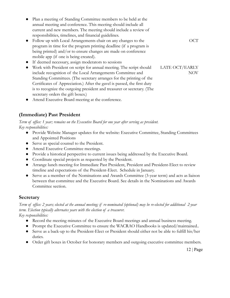- Plan a meeting of Standing Committee members to be held at the annual meeting and conference. This meeting should include all current and new members. The meeting should include a review of responsibilities, timelines, and financial guidelines.
- Follow up with Local Arrangements chair on any changes to the program in time for the program printing deadline (if a program is being printed) and/or to ensure changes are made on conference mobile app (if one is being created).
- If deemed necessary, assign moderators to sessions
- Work with President on script for annual meeting. The script should include recognition of the Local Arrangements Committee and Standing Committees. (The secretary arranges for the printing of the Certificates of Appreciation.) After the gavel is passed, the first duty is to recognize the outgoing president and treasurer or secretary. (The secretary orders the gift boxes.) LATE OCT/EARLY
- Attend Executive Board meeting at the conference.

### **(Immediate) Past President**

*Term of office: 1 year; remains on the Executive Board for one year after serving as president. Key responsibilities:*

- Provide Website Manager updates for the website: Executive Committee, Standing Committees and Appointed Positions
- Serve as special counsel to the President.
- Attend Executive Committee meetings.
- Provide a historical perspective to current issues being addressed by the Executive Board.
- Coordinate special projects as requested by the President.
- Arrange lunch meeting for Immediate Past President, President and President-Elect to review timeline and expectations of the President-Elect. Schedule in January.
- Serve as a member of the Nominations and Awards Committee (3-year term) and acts as liaison between that committee and the Executive Board. See details in the Nominations and Awards Committee section.

### **Secretary**

*Term of office: 2 years; elected at the annual meeting; if re-nominated (optional) may be re-elected for additional 2-year term. Election typically alternates years with the election of a treasurer.*

*Key responsibilities:*

- Record the meeting minutes of the Executive Board meetings and annual business meeting.
- Prompt the Executive Committee to ensure the WACRAO Handbooks is updated/maintained..
- Serve as a back-up to the President-Elect or President should either not be able to fulfill his/her duties.
- Order gift boxes in October for honorary members and outgoing executive committee members.

12 | Page

OCT

NOV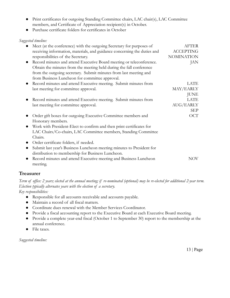- Print certificates for outgoing Standing Committee chairs, LAC chair(s), LAC Committee members, and Certificate of Appreciation recipient(s) in October.
- Purchase certificate folders for certificates in October

#### *Suggested timeline:*

| Meet (at the conference) with the outgoing Secretary for purposes of               | <b>AFTER</b>      |
|------------------------------------------------------------------------------------|-------------------|
| receiving information, materials, and guidance concerning the duties and           | <b>ACCEPTING</b>  |
| responsibilities of the Secretary.                                                 | <b>NOMINATION</b> |
| Record minutes and attend Executive Board meeting or teleconference.               | JAN               |
| Obtain the minutes from the meeting held during the fall conference                |                   |
| from the outgoing secretary. Submit minutes from last meeting and                  |                   |
| from Business Luncheon for committee approval.                                     |                   |
| Record minutes and attend Executive meeting. Submit minutes from                   | LATE              |
| last meeting for committee approval.                                               | MAY/EARLY         |
|                                                                                    | <b>JUNE</b>       |
| Record minutes and attend Executive meeting. Submit minutes from                   | LATE              |
| last meeting for committee approval.                                               | <b>AUG/EARLY</b>  |
|                                                                                    | <b>SEP</b>        |
| Order gift boxes for outgoing Executive Committee members and                      | <b>OCT</b>        |
| Honorary members.                                                                  |                   |
| Work with President-Elect to confirm and then print certificates for               |                   |
| LAC Chairs/Co-chairs, LAC Committee members, Standing Committee                    |                   |
| Chairs.                                                                            |                   |
| Order certificate folders, if needed.                                              |                   |
| Submit last year's Business Luncheon meeting minutes to President for<br>$\bullet$ |                   |
| distribution to membership for Business Luncheon.                                  |                   |
| Record minutes and attend Executive meeting and Business Luncheon<br>$\bullet$     | <b>NOV</b>        |
| meeting.                                                                           |                   |

### **Treasurer**

*Term of office: 2 years; elected at the annual meeting; if re-nominated (optional) may be re-elected for additional 2-year term. Election typically alternates years with the election of a secretary.*

*Key responsibilities:*

- Responsible for all accounts receivable and accounts payable.
- Maintain a record of all fiscal matters.
- Coordinate dues renewal with the Member Services Coordinator.
- Provide a fiscal accounting report to the Executive Board at each Executive Board meeting.
- Provide a complete year-end fiscal (October 1 to September 30) report to the membership at the annual conference.
- File taxes.

*Suggested timeline:*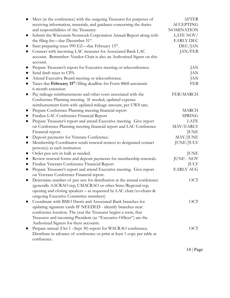| Meet (at the conference) with the outgoing Treasurer for purposes of                      | <b>AFTER</b>      |
|-------------------------------------------------------------------------------------------|-------------------|
| receiving information, materials, and guidance concerning the duties                      | <b>ACCEPTING</b>  |
| and responsibilities of the Treasurer.                                                    | <b>NOMINATION</b> |
| Submit the Wisconsin Nonstock Corporation Annual Report along with<br>$\bullet$           | LATE NOV/         |
| the filing fee—due December 31 <sup>st</sup> .                                            | <b>EARLY DEC</b>  |
| Start preparing taxes 990 EZ—due February 15 <sup>th</sup> .                              | DEC/JAN           |
| Connect with incoming LAC treasurer for Associated Bank LAC<br>$\bullet$                  | JAN/FEB           |
| account. Remember: Vendor Chair is also an Authorized Signer on this<br>account.          |                   |
| Prepare Treasurer's report for Executive meeting or teleconference.<br>$\bullet$          | JAN               |
| Send draft taxes to CPA.<br>$\bullet$                                                     | JAN               |
| Attend Executive Board meeting or teleconference.<br>$\bullet$                            | JAN               |
| Taxes due February 15 <sup>th</sup> /filing deadline for Form 8868 automatic<br>$\bullet$ | <b>FEB</b>        |
| 6-month extension                                                                         |                   |
| Pay mileage reimbursements and other costs associated with the<br>$\bullet$               | FEB/MARCH         |
| Conference Planning meeting. If needed, updated expense                                   |                   |
| reimbursement form with updated mileage amount, per UWS rate.                             |                   |
| Prepare Conference Planning meeting financial report<br>$\bullet$                         | MARCH             |
| Finalize LAC Conference Financial Report<br>$\bullet$                                     | <b>SPRING</b>     |
| Prepare Treasurer's report and attend Executive meeting. Give report<br>$\bullet$         | LATE              |
| on Conference Planning meeting financial report and LAC Conference                        | MAY/EARLY         |
| Financial report.                                                                         | <b>JUNE</b>       |
| Deposit payments for Veterans Conference.<br>$\bullet$                                    | MAY/JUNE          |
| Membership Coordinator sends renewal notices to designated contact<br>$\bullet$           | <b>JUNE/JULY</b>  |
| person(s) at each institution                                                             |                   |
| Order pen sets in bulk as needed.<br>$\bullet$                                            | JUNE              |
| Review renewal forms and deposit payments for membership renewals.<br>$\bullet$           | <b>JUNE - NOV</b> |
| Finalize Veterans Conference Financial Report<br>$\bullet$                                | <b>JULY</b>       |
| Prepare Treasurer's report and attend Executive meeting. Give report<br>$\bullet$         | <b>EARLY AUG</b>  |
| on Veterans Conference Financial report.                                                  |                   |
| Determine number of pen sets for distribution at the annual conference<br>$\bullet$       | <b>OCT</b>        |
| (generally AACRAO rep, UMACRAO or other State/Regional rep,                               |                   |
| opening and closing speakers – as requested by LAC chair/co-chairs $\&$                   |                   |
| outgoing Executive Committee members)                                                     |                   |
| Coordinate with BMO Harris and Associated Bank branches for<br>$\bullet$                  | OCT               |
| updating signature cards IF NEEDED - identify branches near                               |                   |
| conference location. The year the Treasurer begins a term, that                           |                   |
| Treasurer and incoming President (as "Executive Officer") are the                         |                   |
| Authorized Signers for these accounts.                                                    |                   |
| Prepare annual (Oct 1 - Sept 30) report for WACRAO conference.<br>$\bullet$               | OCT               |
| Distribute in advance of conference or print at least 1 copy per table at                 |                   |
| conference.                                                                               |                   |
|                                                                                           |                   |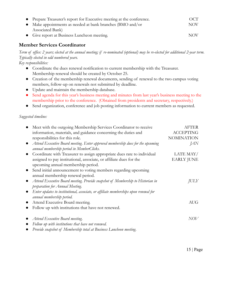| • Prepare Treasurer's report for Executive meeting at the conference. | OCT        |
|-----------------------------------------------------------------------|------------|
| • Make appointments as needed at bank branches (BMO and/or            | NOV.       |
| Associated Bank)                                                      |            |
| • Give report at Business Luncheon meeting.                           | <b>NOV</b> |

### **Member Services Coordinator**

*Term of office: 2 years; elected at the annual meeting; if re-nominated (optional) may be re-elected for additional 2-year term. Typically elected in odd numbered years.*

*Key responsibilities:*

- Coordinate the dues renewal notification to current membership with the Treasurer. Membership renewal should be created by October 25.
- Creation of the membership renewal documents, sending of renewal to the two campus voting members, follow-up on renewals not submitted by deadline.
- Update and maintain the membership database.
- Send agenda for this year's business meeting and minutes from last year's business meeting to the membership prior to the conference. (Obtained from presidents and secretary, respectively.)
- Send organization, conference and job posting information to current members as requested.

#### *Suggested timeline:*

| Meet with the outgoing Membership Services Coordinator to receive                            | <b>AFTER</b>      |
|----------------------------------------------------------------------------------------------|-------------------|
| information, materials, and guidance concerning the duties and                               | <b>ACCEPTING</b>  |
| responsibilities for this role.                                                              | <b>NOMINATION</b> |
| Attend Executive Board meeting. Enter approved membership dues for the upcoming<br>$\bullet$ | <i>JAN</i>        |
| annual membership period in MemberClicks.                                                    |                   |
| Coordinate with Treasurer to assign appropriate dues rate to individual                      | LATE MAY/         |
| assigned to pay institutional, associate, or affiliate dues for the                          | <b>EARLY JUNE</b> |
| upcoming annual membership period.                                                           |                   |
| Send initial announcement to voting members regarding upcoming                               |                   |
| annual membership renewal period.                                                            |                   |
| Attend Executive Board meeting. Provide snapshot of Membership to Historian in               | JULY              |
| preparation for Annual Meeting.                                                              |                   |
| Enter updates to institutional, associate, or affiliate memberships upon renewal for         |                   |
| annual membership period.                                                                    |                   |
| Attend Executive Board meeting.<br>$\bullet$                                                 | <b>AUG</b>        |
| Follow up with institutions that have not renewed.                                           |                   |
| Attend Executive Board meeting.                                                              | NOV               |
| Follow up with institutions that have not renewed.                                           |                   |
| Provide snapshot of Membership total at Business Luncheon meeting.                           |                   |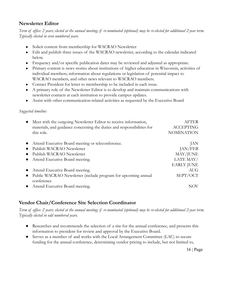### **Newsletter Editor**

*Term of office: 2 years; elected at the annual meeting; if re-nominated (optional) may be re-elected for additional 2-year term. Typically elected in even numbered years.*

- Solicit content from membership for WACRAO Newsletter
- Edit and publish three issues of the WACRAO newsletter, according to the calendar indicated below.
- Frequency and/or specific publication dates may be reviewed and adjusted as appropriate.
- Primary content is news stories about institutions of higher education in Wisconsin, activities of individual members, information about regulations or legislation of potential impact to WACRAO members, and other news relevant to WACRAO members.
- Contact President for letter to membership to be included in each issue.
- A primary role of the Newsletter Editor is to develop and maintain communications with newsletter contacts at each institution to provide campus updates.
- Assist with other communication-related activities as requested by the Executive Board

#### *Suggested timeline:*

|                                                   | Meet with the outgoing Newsletter Editor to receive information,       | <b>AFTER</b>      |
|---------------------------------------------------|------------------------------------------------------------------------|-------------------|
|                                                   | materials, and guidance concerning the duties and responsibilities for | <b>ACCEPTING</b>  |
| this role.                                        |                                                                        | <b>NOMINATION</b> |
| Attend Executive Board meeting or teleconference. |                                                                        | JAN               |
| Publish WACRAO Newsletter<br>$\bullet$            |                                                                        | JAN/FEB           |
| Publish WACRAO Newsletter                         |                                                                        | MAY/JUNE          |
| Attend Executive Board meeting.<br>$\bullet$      |                                                                        | LATE MAY/         |
|                                                   |                                                                        | <b>EARLY JUNE</b> |
| Attend Executive Board meeting.                   |                                                                        | <b>AUG</b>        |
| $\bullet$                                         | Public WACRAO Newsletter (include program for upcoming annual          | SEPT/OCT          |
| conference                                        |                                                                        |                   |
| Attend Executive Board meeting.                   |                                                                        |                   |

### **Vendor Chair/Conference Site Selection Coordinator**

*Term of office: 2 years; elected at the annual meeting; if re-nominated (optional) may be re-elected for additional 2-year term. Typically elected in odd numbered years.*

- Researches and recommends the selection of a site for the annual conference, and presents this information to president for review and approval by the Executive Board.
- Serves as a member of and works with the Local Arrangement Committee (LAC) to secure funding for the annual conference, determining vendor pricing to include, but not limited to,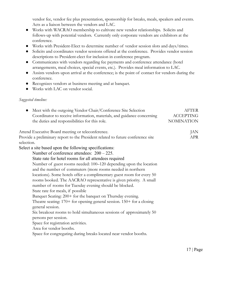vendor fee, vendor fee plus presentation, sponsorship for breaks, meals, speakers and events. Acts as a liaison between the vendors and LAC.

- Works with WACRAO membership to cultivate new vendor relationships. Solicits and follows-up with potential vendors. Currently only corporate vendors are exhibitors at the conference.
- Works with President-Elect to determine number of vendor session slots and days/times.
- Solicits and coordinates vendor sessions offered at the conference. Provides vendor session descriptions to President-elect for inclusion in conference program.
- Communicates with vendors regarding fee payments and conference attendance (hotel arrangements, meal choices, special events, etc.). Provides meal information to LAC.
- Assists vendors upon arrival at the conference; is the point of contact for vendors during the conference.
- Recognizes vendors at business meeting and at banquet.
- Works with LAC on vendor social.

#### *Suggested timeline:*

| Meet with the outgoing Vendor Chair/Conference Site Selection<br>$\bullet$                    | <b>AFTER</b>      |
|-----------------------------------------------------------------------------------------------|-------------------|
| Coordinator to receive information, materials, and guidance concerning                        | <b>ACCEPTING</b>  |
| the duties and responsibilities for this role.                                                | <b>NOMINATION</b> |
| Attend Executive Board meeting or teleconference.                                             | JAN               |
| Provide a preliminary report to the President related to future conference site               | <b>APR</b>        |
| selection.                                                                                    |                   |
| Select a site based upon the following specifications:                                        |                   |
| Number of conference attendees: $200 - 225$ .                                                 |                   |
| State rate for hotel rooms for all attendees required                                         |                   |
| Number of guest rooms needed: 100–120 depending upon the location                             |                   |
| and the number of commuters (more rooms needed in northern                                    |                   |
| locations). Some hotels offer a complimentary guest room for every 50                         |                   |
| rooms booked. The AACRAO representative is given priority. A small                            |                   |
| number of rooms for Tuesday evening should be blocked.                                        |                   |
| State rate for meals, if possible                                                             |                   |
| Banquet Seating: 200+ for the banquet on Thursday evening.                                    |                   |
| Theatre seating: $170+$ for opening general session. $150+$ for a closing<br>general session. |                   |
| Six breakout rooms to hold simultaneous sessions of approximately 50                          |                   |
| persons per session.                                                                          |                   |
| Space for registration activities.                                                            |                   |
| Area for vendor booths.                                                                       |                   |
| Space for congregating during breaks located near vendor booths.                              |                   |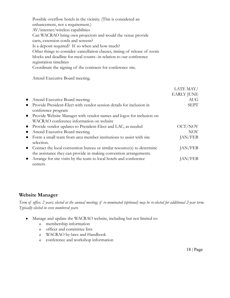Possible overflow hotels in the vicinity. (This is considered an enhancement, not a requirement.) AV/internet/wireless capabilities Can WACRAO bring own projectors and would the venue provide carts, extension cords and screens? Is a deposit required? If so when and how much? Other things to consider: cancellation clauses, timing of release of room blocks and deadline for meal counts--in relation to our conference registration timelines Coordinate the signing of the contracts for conference site.

Attend Executive Board meeting.

|           |                                                                         | LATE MAY/         |
|-----------|-------------------------------------------------------------------------|-------------------|
|           |                                                                         | <b>EARLY JUNE</b> |
| $\bullet$ | Attend Executive Board meeting.                                         | <b>AUG</b>        |
| $\bullet$ | Provide President-Elect with vendor session details for inclusion in    | <b>SEPT</b>       |
|           | conference program                                                      |                   |
|           | • Provide Website Manager with vendor names and logos for inclusion on  |                   |
|           | WACRAO conference information on website                                |                   |
| $\bullet$ | Provide vendor updates to President-Elect and LAC, as needed            | OCT/NOV           |
| $\bullet$ | Attend Executive Board meeting.                                         | <b>NOV</b>        |
| $\bullet$ | Form a small team from area member institutions to assist with site     | JAN/FEB           |
|           | selection.                                                              |                   |
| $\bullet$ | Contact the local convention bureau or similar resource(s) to determine | JAN/FEB           |
|           | the assistance they can provide in making convention arrangements.      |                   |
|           | Arrange for site visits by the team to local hotels and conference      | JAN/FEB           |
|           | centers.                                                                |                   |

### **Website Manager**

*Term of office: 2 years; elected at the annual meeting; if re-nominated (optional) may be re-elected for additional 2-year term. Typically elected in even numbered years.*

- Manage and update the WACRAO website, including but not limited to:
	- o membership information
	- o officer and committee lists
	- o WACRAO by-laws and Handbook
	- o conference and workshop information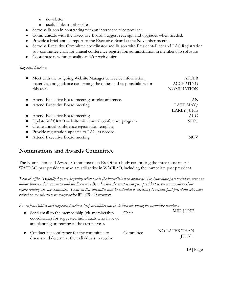- o newsletter
- o useful links to other sites
- Serve as liaison in contracting with an internet service provider.
- Communicate with the Executive Board. Suggest redesign and upgrades when needed.
- Provide a brief annual report to the Executive Board at the November meetin
- Serve as Executive Committee coordinator and liaison with President-Elect and LAC Registration sub-committee chair for annual conference registration administration in membership software
- Coordinate new functionality and/or web design

#### *Suggested timeline:*

| Meet with the outgoing Website Manager to receive information,         | <b>AFTER</b>      |
|------------------------------------------------------------------------|-------------------|
| materials, and guidance concerning the duties and responsibilities for | <b>ACCEPTING</b>  |
| this role.                                                             | <b>NOMINATION</b> |
| Attend Executive Board meeting or teleconference.                      | JAN               |
| Attend Executive Board meeting.                                        | LATE MAY/         |
|                                                                        | <b>EARLY JUNE</b> |
| Attend Executive Board meeting.                                        | <b>AUG</b>        |
| Update WACRAO website with annual conference program                   | <b>SEPT</b>       |
| Create annual conference registration template                         |                   |
| Provide registration updates to LAC, as needed                         |                   |
| Attend Executive Board meeting.                                        |                   |

# **Nominations and Awards Committee**

The Nomination and Awards Committee is an Ex-Officio body comprising the three most recent WACRAO past presidents who are still active in WACRAO, including the immediate past president.

*Term of office: Typically 3 years, beginning when one is the immediate past president. The immediate past president serves as liaison between this committee and the Executive Board, while the most senior past president serves as committee chair before rotating off the committee. Terms on this committee may be extended if necessary to replace past presidents who have retired or are otherwise no longer active WACRAO members.*

*Key responsibilities and suggested timelines (responsibilities can be divided up among the committee members:*

| Send email to the membership (via membership<br>coordinator) for suggested individuals who have or<br>are planning on retiring in the current year. | Chair     | MID-JUNE                       |
|-----------------------------------------------------------------------------------------------------------------------------------------------------|-----------|--------------------------------|
| • Conduct teleconference for the committee to<br>discuss and determine the individuals to receive                                                   | Committee | NO LATER THAN<br><b>JULY 1</b> |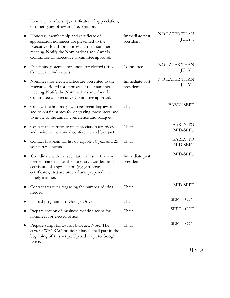honorary membership, certificates of appreciation, or other types of awards/recognition.

|           | Honorary membership and certificate of<br>appreciation nominees are presented to the<br>Executive Board for approval at their summer<br>meeting. Notify the Nominations and Awards<br>Committee of Executive Committee approval. | Immediate past<br>president | <b>NO LATER THAN</b><br><b>JULY 1</b> |
|-----------|----------------------------------------------------------------------------------------------------------------------------------------------------------------------------------------------------------------------------------|-----------------------------|---------------------------------------|
|           | Determine potential nominees for elected office.<br>Contact the individuals.                                                                                                                                                     | Committee                   | <b>NO LATER THAN</b><br><b>JULY 1</b> |
|           | Nominees for elected office are presented to the<br>Executive Board for approval at their summer<br>meeting. Notify the Nominations and Awards<br>Committee of Executive Committee approval.                                     | Immediate past<br>president | <b>NO LATER THAN</b><br><b>JULY 1</b> |
|           | Contact the honorary awardees regarding award<br>and to obtain names for engraving, presenters, and<br>to invite to the annual conference and banquet.                                                                           | Chair                       | <b>EARLY SEPT</b>                     |
|           | Contact the certificate of appreciation awardees<br>and invite to the annual conference and banquet.                                                                                                                             | Chair                       | <b>EARLY TO</b><br>MID-SEPT           |
| $\bullet$ | Contact historian for list of eligible 10 year and 25<br>year pin recipients.                                                                                                                                                    | Chair                       | <b>EARLY TO</b><br>MID-SEPT           |
|           | Coordinate with the secretary to insure that any<br>needed materials for the honorary awardees and<br>certificate of appreciation (e.g. gift boxes,<br>certificates, etc.) are ordered and prepared in a<br>timely manner.       | Immediate past<br>president | MID-SEPT                              |
|           | Contact treasurer regarding the number of pins<br>needed                                                                                                                                                                         | Chair                       | MID-SEPT                              |
|           | Upload program into Google Drive                                                                                                                                                                                                 | Chair                       | SEPT - OCT                            |
|           | Prepare section of business meeting script for<br>nominees for elected office.                                                                                                                                                   | Chair                       | SEPT - OCT                            |
|           | Prepare script for awards banquet. Note: The<br>current WACRAO president has a small part in the<br>beginning of this script. Upload script to Google<br>Drive.                                                                  | Chair                       | SEPT - OCT                            |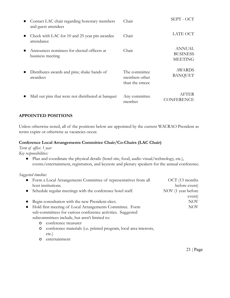| Contact LAC chair regarding honorary members<br>and guest attendees | Chair                                            | SEPT - OCT                                         |
|---------------------------------------------------------------------|--------------------------------------------------|----------------------------------------------------|
| Check with LAC for 10 and 25 year pin awardee<br>attendance         | Chair                                            | LATE OCT                                           |
| Announces nominees for elected officers at<br>business meeting      | Chair                                            | <b>ANNUAL</b><br><b>BUSINESS</b><br><b>MEETING</b> |
| Distributes awards and pins; shake hands of<br>awardees             | The committee<br>members other<br>than the emcee | <b>AWARDS</b><br><b>BANQUET</b>                    |
| Mail out pins that were not distributed at banquet                  | Any committee<br>member                          | AFTER<br><b>CONFERENCE</b>                         |

#### **APPOINTED POSITIONS**

Unless otherwise noted, all of the positions below are appointed by the current WACRAO President as terms expire or otherwise as vacancies occur.

#### **Conference Local Arrangements Committee Chair/Co-Chairs (LAC Chair)**

*Term of office: 1 year*

*Key responsibilities:*

● Plan and coordinate the physical details (hotel site, food, audio visual/technology, etc.), events/entertainment, registration, and keynote and plenary speakers for the annual conference.

*Suggested timeline:*

| $\bullet$ |   | Form a Local Arrangements Committee of representatives from all   | $OCT$ (13 months)  |
|-----------|---|-------------------------------------------------------------------|--------------------|
|           |   | host institutions.                                                | before event)      |
|           |   | Schedule regular meetings with the conference hotel staff.        | NOV (1 year before |
|           |   |                                                                   | event)             |
|           |   | Begin consultation with the new President-elect.                  | <b>NOV</b>         |
| $\bullet$ |   | Hold first meeting of Local Arrangements Committee. Form          | <b>NOV</b>         |
|           |   | sub-committees for various conference activities. Suggested       |                    |
|           |   | subcommittees include, but aren't limited to:                     |                    |
|           | 0 | conference treasurer                                              |                    |
|           | O | conference materials (i.e. printed program, local area interests, |                    |
|           |   | $etc.$ )                                                          |                    |
|           |   |                                                                   |                    |

o entertainment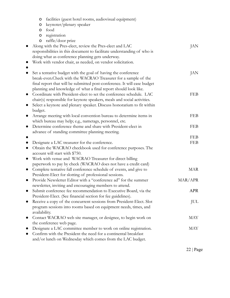| facilities (guest hotel rooms, audiovisual equipment)<br>$\circ$                    |            |
|-------------------------------------------------------------------------------------|------------|
| keynoter/plenary speaker<br>$\circ$                                                 |            |
| food<br>O                                                                           |            |
| registration<br>$\circ$                                                             |            |
| raffle/door prize<br>O                                                              |            |
| Along with the Pres-elect, review the Pres-elect and LAC                            | JAN        |
| responsibilities in this document to facilitate understanding of who is             |            |
| doing what as conference planning gets underway.                                    |            |
| Work with vendor chair, as needed, on vendor solicitation.                          |            |
| Set a tentative budget with the goal of having the conference<br>$\bullet$          | JAN        |
| break-even. Check with the WACRAO Treasurer for a sample of the                     |            |
| final report that will be submitted post-conference. It will ease budget            |            |
| planning and knowledge of what a final report should look like.                     |            |
| Coordinate with President-elect to set the conference schedule. LAC<br>$\bullet$    | <b>FEB</b> |
| chair(s) responsible for keynote speakers, meals and social activities.             |            |
| Select a keynote and plenary speaker. Discuss honorarium to fit within<br>$\bullet$ |            |
| budget.                                                                             |            |
| Arrange meeting with local convention bureau to determine items in<br>$\bullet$     | <b>FEB</b> |
| which bureau may help; e.g., nametags, personnel, etc.                              |            |
| Determine conference theme and share with President-elect in<br>$\bullet$           | <b>FEB</b> |
| advance of standing committee planning meeting.                                     |            |
|                                                                                     | <b>FEB</b> |
| Designate a LAC treasurer for the conference.<br>$\bullet$                          | <b>FEB</b> |
| Obtain the WACRAO checkbook used for conference purposes. The<br>$\bullet$          |            |
| account will start with \$750.                                                      |            |
| Work with venue and WACRAO Treasurer for direct billing<br>$\bullet$                |            |
| paperwork to pay by check (WACRAO does not have a credit card)                      |            |
| Complete tentative fall conference schedule of events, and give to<br>$\bullet$     | <b>MAR</b> |
| President-Elect for slotting of professional sessions.                              |            |
| Provide Newsletter Editor with a "conference ad" for the summer<br>$\bullet$        | MAR/APR    |
| newsletter, inviting and encouraging members to attend.                             |            |
| Submit conference fee recommendation to Executive Board, via the                    | <b>APR</b> |
| President-Elect. (See financial section for fee guidelines).                        |            |
| Receive a copy of the concurrent sessions from President-Elect. Slot<br>$\bullet$   | JUL        |
| program sessions into rooms based on equipment needs, times, and                    |            |
| availability.                                                                       |            |
| Contact WACRAO web site manager, or designee, to begin work on<br>$\bullet$         | MAY        |
| the conference web page.                                                            |            |
| Designate a LAC committee member to work on online registration.<br>$\bullet$       | MAY        |
| Confirm with the President the need for a continental breakfast<br>$\bullet$        |            |
| and/or lunch on Wednesday which comes from the LAC budget.                          |            |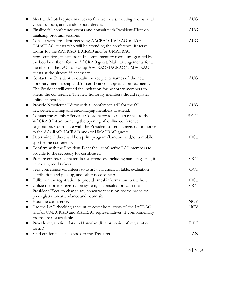| Meet with hotel representatives to finalize meals, meeting rooms, audio<br>$\bullet$<br>visual support, and vendor social details.                                                                                                                                                                                                                                                                                           | <b>AUG</b>        |
|------------------------------------------------------------------------------------------------------------------------------------------------------------------------------------------------------------------------------------------------------------------------------------------------------------------------------------------------------------------------------------------------------------------------------|-------------------|
| Finalize fall conference events and consult with President-Elect on<br>$\bullet$<br>finalizing program sessions.                                                                                                                                                                                                                                                                                                             | <b>AUG</b>        |
| Consult with President regarding AACRAO, IACRAO and/or<br>$\bullet$<br>UMACRAO guests who will be attending the conference. Reserve<br>rooms for the AACRAO, IACRAO and/or UMACRAO<br>representatives, if necessary. If complimentary rooms are granted by<br>the hotel use them for the AACRAO guest. Make arrangements for a<br>member of the LAC to pick up AACRAO/IACRAO/UMACRAO<br>guests at the airport, if necessary. | <b>AUG</b>        |
| Contact the President to obtain the recipients names of the new<br>$\bullet$<br>honorary membership and/or certificate of appreciation recipients.<br>The President will extend the invitation for honorary members to<br>attend the conference. The new honorary members should register<br>online, if possible.                                                                                                            | <b>AUG</b>        |
| Provide Newsletter Editor with a "conference ad" for the fall<br>$\bullet$<br>newsletter, inviting and encouraging members to attend.                                                                                                                                                                                                                                                                                        | <b>AUG</b>        |
| Contact the Member Services Coordinator to send an e-mail to the<br>$\bullet$<br>WACRAO list announcing the opening of online conference<br>registration. Coordinate with the President to send a registration notice<br>to the AACRAO, IACRAO and/or UMACRAO guests.                                                                                                                                                        | <b>SEPT</b>       |
| Determine if there will be a print program/handout and/or a mobile<br>$\bullet$<br>app for the conference.<br>Confirm with the President-Elect the list of active LAC members to<br>$\bullet$<br>provide to the secretary for certificates.                                                                                                                                                                                  | <b>OCT</b>        |
| Prepare conference materials for attendees, including name tags and, if<br>$\bullet$<br>necessary, meal tickets.                                                                                                                                                                                                                                                                                                             | <b>OCT</b>        |
| Seek conference volunteers to assist with check-in table, evaluation<br>$\bullet$<br>distribution and pick up, and other needed help.                                                                                                                                                                                                                                                                                        | <b>OCT</b>        |
| Utilize online registration to provide meal information to the hotel.<br>$\bullet$<br>Utilize the online registration system, in consultation with the<br>President-Elect, to change any concurrent session rooms based on                                                                                                                                                                                                   | <b>OCT</b><br>OCT |
| pre-registration attendance and room size.<br>Host the conference.<br>$\bullet$<br>Use the LAC checking account to cover hotel costs of the IACRAO<br>$\bullet$<br>and/or UMACRAO and AACRAO representatives, if complimentary                                                                                                                                                                                               | NOV<br>NOV        |
| rooms are not available.<br>Provide registration data to Historian (lists or copies of registration<br>$\bullet$                                                                                                                                                                                                                                                                                                             | <b>DEC</b>        |
| forms)<br>Send conference checkbook to the Treasurer.                                                                                                                                                                                                                                                                                                                                                                        | JAN               |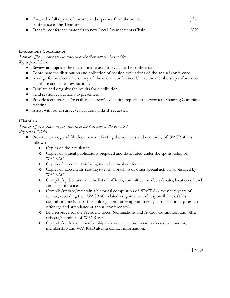| • Forward a full report of income and expenses from the annual   | JAN. |
|------------------------------------------------------------------|------|
| conference to the Treasurer.                                     |      |
| • Transfer conference materials to new Local Arrangements Chair. | IAN. |

#### **Evaluations Coordinator**

*Term of office: 2 years; may be renewed at the discretion of the President. Key responsibilities:*

- Review and update the questionnaire used to evaluate the conference.
- Coordinate the distribution and collection of session evaluations of the annual conference.
- Arrange for an electronic survey of the overall conference. Utilize the membership software to distribute and collect evaluations.
- Tabulate and organize the results for distribution.
- Send session evaluations to presenters.
- Provide a conference (overall and session) evaluation report at the February Standing Committee meeting.
- Assist with other survey/evaluations tasks if requested.

#### **Historian**

*Term of office: 2 years; may be renewed at the discretion of the President Key responsibilities:*

- Preserve, catalog and file documents reflecting the activities and continuity of WACRAO as follows:
	- o Copies of the newsletter.
	- o Copies of annual publications prepared and distributed under the sponsorship of WACRAO.
	- o Copies of documents relating to each annual conference.
	- o Copies of documents relating to each workshop or other special activity sponsored by WACRAO.
	- o Compile/update annually the list of officers, committee members/chairs, location of each annual conference.
	- o Compile/update/maintain a historical compilation of WACRAO members years of service, recording their WACRAO related assignments and responsibilities. (This compilation includes office holding, committee appointments, participation in program offerings and attendance at annual conferences.)
	- o Be a resource for the President-Elect, Nominations and Awards Committee, and other officers/members of WACRAO.
	- o Compile/update the membership database to record persons elected to honorary membership and WACRAO alumni contact information.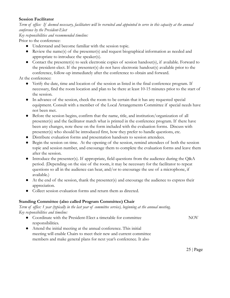#### **Session Facilitator**

*Term of office: If deemed necessary, facilitators will be recruited and appointed to serve in this capacity at the annual conference by the President-Elect*

```
Key responsibilities and recommended timeline:
```
Prior to the conference:

- Understand and become familiar with the session topic.
- Review the name(s) of the presenter(s) and request biographical information as needed and appropriate to introduce the speaker(s).
- Contact the presenter(s) to seek electronic copies of session handout(s), if available. Forward to the president-elect. If the presenter(s) do not have electronic handout(s) available prior to the conference, follow-up immediately after the conference to obtain and forward.

At the conference:

- Verify the date, time and location of the session as listed in the final conference program. If necessary, find the room location and plan to be there at least 10-15 minutes prior to the start of the session.
- In advance of the session, check the room to be certain that it has any requested special equipment. Consult with a member of the Local Arrangements Committee if special needs have not been met.
- Before the session begins, confirm that the name, title, and institution/organization of all presenter(s) and the facilitator match what is printed in the conference program. If there have been any changes, note these on the form included with the evaluation forms. Discuss with presenter(s) who should be introduced first, how they prefer to handle questions, etc.
- Distribute evaluation forms and presentation handouts to session attendees.
- Begin the session on time. At the opening of the session, remind attendees of both the session topic and session number, and encourage them to complete the evaluation forms and leave them after the session.
- Introduce the presenter(s). If appropriate, field questions from the audience during the Q&A period. (Depending on the size of the room, it may be necessary for the facilitator to repeat questions so all in the audience can hear, and/or to encourage the use of a microphone, if available.)
- At the end of the session, thank the presenter(s) and encourage the audience to express their appreciation.
- Collect session evaluation forms and return them as directed.

#### **Standing Committee (also called Program Committee) Chair**

*Term of office: 1 year (typically in the last year of committee service), beginning at the annual meeting. Key responsibilities and timeline:*

- Coordinate with the President-Elect a timetable for committee responsibilities. NOV
- Attend the initial meeting at the annual conference. This initial meeting will enable Chairs to meet their new and current committee members and make general plans for next year's conference. It also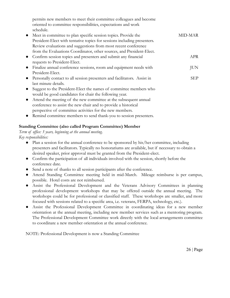| permits new members to meet their committee colleagues and become<br>oriented to committee responsibilities, expectations and work<br>schedule. |            |
|-------------------------------------------------------------------------------------------------------------------------------------------------|------------|
| Meet in committee to plan specific session topics. Provide the                                                                                  | MID-MAR    |
| President-Elect with tentative topics for sessions including presenters.                                                                        |            |
| Review evaluations and suggestions from most recent conference                                                                                  |            |
| from the Evaluations Coordinator, other sources, and President-Elect.                                                                           |            |
| Confirm session topics and presenters and submit any financial                                                                                  | APR        |
| requests to President-Elect.                                                                                                                    |            |
| Finalize annual conference sessions, room and equipment needs with                                                                              | <b>JUN</b> |
| President-Elect.                                                                                                                                |            |
| Personally contact to all session presenters and facilitators. Assist in                                                                        | <b>SEP</b> |
| last minute details.                                                                                                                            |            |
| Suggest to the President-Elect the names of committee members who                                                                               |            |
| would be good candidates for chair the following year.                                                                                          |            |
| Attend the meeting of the new committee at the subsequent annual                                                                                |            |
| conference to assist the new chair and to provide a historical                                                                                  |            |
| perspective of committee activities for the new members.                                                                                        |            |

● Remind committee members to send thank-you to session presenters.

#### **Standing Committee (also called Program Committee) Member**

*Term of office: 3 years, beginning at the annual meeting. Key responsibilities:*

- Plan a session for the annual conference to be sponsored by his/her committee, including presenters and facilitators. Typically no honorariums are available, but if necessary to obtain a desired speaker, prior approval must be granted from the President-elect.
- Confirm the participation of all individuals involved with the session, shortly before the conference date.
- Send a note of thanks to all session participants after the conference.
- Attend Standing Committee meeting held in mid-March. Mileage reimburse is per campus, possible. Hotel costs are not reimbursed.
- Assist the Professional Development and the Veterans Advisory Committees in planning professional development workshops that may be offered outside the annual meeting. The workshops could be for professional or classified staff. These workshops are smaller, and more focused with sessions related to a specific area, i.e. veterans, FERPA, technology, etc.).
- Assist the Professional Development Committee in coordinating ideas for a new member orientation at the annual meeting, including new member services such as a mentoring program. The Professional Development Committee work directly with the local arrangements committee to coordinate a new member orientation at the annual conference.

NOTE: Professional Development is now a Standing Committee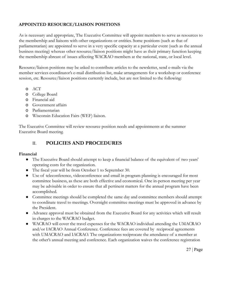#### **APPOINTED RESOURCE/LIAISON POSITIONS**

As is necessary and appropriate, The Executive Committee will appoint members to serve as resources to the membership and liaisons with other organizations or entities. Some positions (such as that of parliamentarian) are appointed to serve in a very specific capacity at a particular event (such as the annual business meeting) whereas other resource/liaison positions might have as their primary function keeping the membership abreast of issues affecting WACRAO members at the national, state, or local level.

Resource/liaison positions may be asked to contribute articles to the newsletter, send e-mails via the member services coordinator's e-mail distribution list, make arrangements for a workshop or conference session, etc. Resource/liaison positions currently include, but are not limited to the following:

- o ACT
- o College Board
- o Financial aid
- o Government affairs
- o Parliamentarian
- o Wisconsin Education Fairs (WEF) liaison.

The Executive Committee will review resource position needs and appointments at the summer Executive Board meeting.

### II. **POLICIES AND PROCEDURES**

#### **Financial**

- The Executive Board should attempt to keep a financial balance of the equivalent of two years' operating costs for the organization.
- The fiscal year will be from October 1 to September 30.
- Use of teleconference, videoconference and email in program planning is encouraged for most committee business, as these are both effective and economical. One in-person meeting per year may be advisable in order to ensure that all pertinent matters for the annual program have been accomplished.
- Committee meetings should be completed the same day and committee members should attempt to coordinate travel to meetings. Overnight committee meetings must be approved in advance by the President.
- Advance approval must be obtained from the Executive Board for any activities which will result in charges to the WACRAO budget.
- WACRAO will cover the travel expenses for the WACRAO individual attending the UMACRAO and/or IACRAO Annual Conference. Conference fees are covered by reciprocal agreements with UMACRAO and IACRAO. The organizations reciprocate the attendance of a member at the other's annual meeting and conference. Each organization waives the conference registration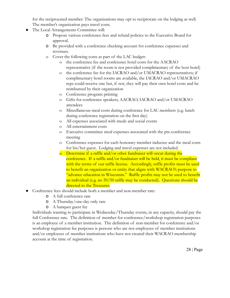for the reciprocated member. The organizations may opt to reciprocate on the lodging as well. The member's organization pays travel costs.

- The Local Arrangements Committee will:
	- o Propose various conference fees and refund policies to the Executive Board for approval.
	- o Be provided with a conference checking account for conference expenses and revenues.
	- o Cover the following costs as part of the LAC budget:
		- o the conference fee and conference hotel costs for the AACRAO representative (if the room is not provided complimentary of the host hotel)
		- o the conference fee for the IACRAO and/or UMACRAO representatives; if complimentary hotel rooms are available, the IACRAO and/or UMACRAO reps could receive one but, if not, they will pay their own hotel costs and be reimbursed by their organization
		- o Conference program printing
		- o Gifts for conference speakers, AACRAO, IACRAO and/or UMACRAO attendees
		- o Miscellaneous meal costs during conference for LAC members (e.g. lunch during conference registration on the first day)
		- o All expenses associated with meals and social events
		- o All entertainment costs
		- o Executive committee meal expenses associated with the pre-conference meeting
		- o Conference expenses for each honorary member inductee and the meal costs for his/her guest. Lodging and travel expenses are not included.
		- o Determine if a raffle and/or other fundraiser will occur during the conference. If a raffle and/or fundraiser will be held, it must be compliant with the terms of our raffle license. Accordingly, raffle profits must be used to benefit an organization or entity that aligns with WACRAO's purpose to "advance education in Wisconsin." Raffle profits may not be used to benefit an individual (e.g. no 50/50 raffle may be conducted). Questions should be directed to the Treasurer.
- Conference fees should include both a member and non-member rate:
	- o A full conference rate
	- o A Thursday/one-day only rate
	- o A banquet guest fee

Individuals wanting to participate in Wednesday/Thursday events, in any capacity, should pay the full Conference rate. The definition of member for conference/workshop registration purposes is an employee of a member institution. The definition of non-member for conference and/or workshop registration fee purposes is persons who are not employees of member institutions and/or employees of member institutions who have not created their WACRAO membership account at the time of registration.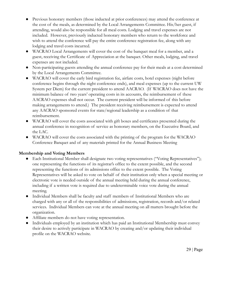- Previous honorary members (those inducted at prior conferences) may attend the conference at the cost of the meals, as determined by the Local Arrangements Committee. His/her guest, if attending, would also be responsible for all meal costs. Lodging and travel expenses are not included. However, previously inducted honorary members who return to the workforce and wish to attend the conference will pay the entire conference registration fee, along with any lodging and travel costs incurred.
- WACRAO Local Arrangements will cover the cost of the banquet meal for a member, and a guest, receiving the Certificate of Appreciation at the banquet. Other meals, lodging, and travel expenses are not included.
- Non-participating guests attending the annual conference pay for their meals at a cost determined by the Local Arrangements Committee.
- WACRAO will cover the early bird registration fee, airfare costs, hotel expenses (night before conference begins through the night conference ends), and meal expenses (up to the current UW System per Diem) for the current president to attend AACRAO. (If WACRAO does not have the minimum balance of two years' operating costs in its accounts, the reimbursement of these AACRAO expenses shall not occur. The current president will be informed of this before making arrangements to attend.) The president receiving reimbursement is expected to attend any AACRAO sponsored events for state/regional leadership as a condition of that reimbursement.
- WACRAO will cover the costs associated with gift boxes and certificates presented during the annual conference in recognition of service as honorary members, on the Executive Board, and the LAC.
- WACRAO will cover the costs associated with the printing of the program for the WACRAO Conference Banquet and of any materials printed for the Annual Business Meeting

#### **Membership and Voting Members**

- Each Institutional Member shall designate two voting representatives ("Voting Representatives"); one representing the functions of its registrar's office to the extent possible, and the second representing the functions of its admissions office to the extent possible. The Voting Representatives will be asked to vote on behalf of their institution only when a special meeting or electronic vote is needed outside of the annual meeting held during the annual conference, including if a written vote is required due to undeterminable voice vote during the annual meeting.
- Individual Members shall be faculty and staff members of Institutional Members who are charged with any or all of the responsibilities of admissions, registration, records and/or related services. Individual Members can vote at the annual meeting on all matters brought before the organization.
- Affiliate members do not have voting representation.
- Individuals employed by an institution which has paid an Institutional Membership must convey their desire to actively participate in WACRAO by creating and/or updating their individual profile on the WACRAO website.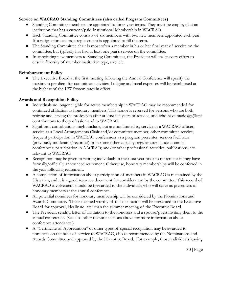#### **Service on WACRAO Standing Committees (also called Program Committees)**

- Standing Committee members are appointed to three-year terms. They must be employed at an institution that has a current/paid Institutional Membership in WACRAO.
- Each Standing Committee consists of six members with two new members appointed each year. If a resignation occurs, a replacement is appointed to fill the term.
- The Standing Committee chair is most often a member in his or her final year of service on the committee, but typically has had at least one year's service on the committee.
- In appointing new members to Standing Committees, the President will make every effort to ensure diversity of member institution type, size, etc.

#### **Reimbursement Policy**

● The Executive Board at the first meeting following the Annual Conference will specify the maximum per diem for committee activities. Lodging and meal expenses will be reimbursed at the highest of the UW System rates in effect.

#### **Awards and Recognition Policy**

- Individuals no longer eligible for active membership in WACRAO may be recommended for continued affiliation as honorary members. This honor is reserved for persons who are both retiring and leaving the profession after at least ten years of service, and who have made *significant* contributions to the profession and to WACRAO.
- Significant contributions might include, but are not limited to, service as a WACRAO officer; service as a Local Arrangements Chair and/or committee member; other committee service; frequent participation in WACRAO conferences as a program presenter, session facilitator (previously moderator/recorder) or in some other capacity; regular attendance at annual conferences; participation in AACRAO; and/or other professional activities, publications, etc. relevant to WACRAO.
- Recognition may be given to retiring individuals in their last year prior to retirement if they have formally/officially announced retirement. Otherwise, honorary memberships will be conferred in the year following retirement.
- A compilation of information about participation of members in WACRAO is maintained by the Historian, and it is a good resource document for consideration by the committee. This record of WACRAO involvement should be forwarded to the individuals who will serve as presenters of honorary members at the annual conference.
- All potential nominees for honorary membership will be considered by the Nominations and Awards Committee. Those deemed worthy of this distinction will be presented to the Executive Board for approval, ideally no later than the summer meeting of the Executive Board.
- The President sends a letter of invitation to the honorees and a spouse/guest inviting them to the annual conference. (See also other relevant sections above for more information about conference attendance.)
- A "Certificate of Appreciation" or other types of special recognition may be awarded to nominees on the basis of service to WACRAO, also as recommended by the Nominations and Awards Committee and approved by the Executive Board. For example, those individuals leaving